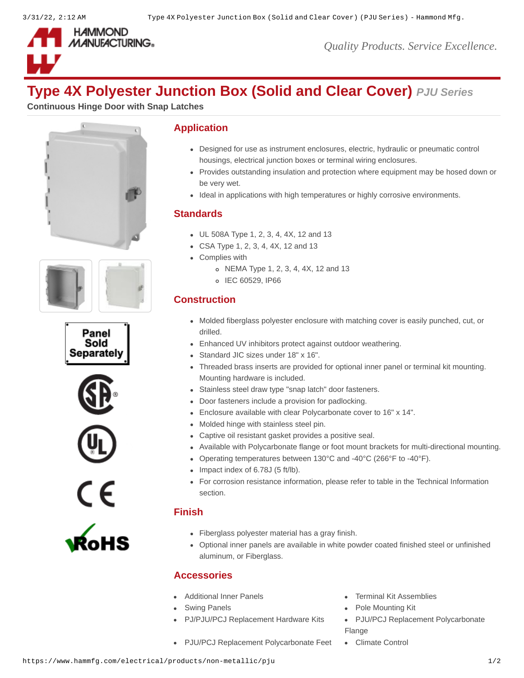

*Quality Products. Service Excellence.*

# **Type 4X Polyester Junction Box (Solid and Clear Cover)** *PJU Series*

**Continuous Hinge Door with Snap Latches**













#### **Application**

- Designed for use as instrument enclosures, electric, hydraulic or pneumatic control housings, electrical junction boxes or terminal wiring enclosures.
- Provides outstanding insulation and protection where equipment may be hosed down or be very wet.
- Ideal in applications with high temperatures or highly corrosive environments.

#### **Standards**

- UL 508A Type 1, 2, 3, 4, 4X, 12 and 13
- CSA Type 1, 2, 3, 4, 4X, 12 and 13
- Complies with
	- NEMA Type 1, 2, 3, 4, 4X, 12 and 13
	- o IEC 60529, IP66

## **Construction**

- Molded fiberglass polyester enclosure with matching cover is easily punched, cut, or drilled.
- Enhanced UV inhibitors protect against outdoor weathering.
- Standard JIC sizes under 18" x 16".
- Threaded brass inserts are provided for optional inner panel or terminal kit mounting. Mounting hardware is included.
- Stainless steel draw type "snap latch" door fasteners.
- Door fasteners include a provision for padlocking.
- Enclosure available with clear Polycarbonate cover to 16" x 14".
- Molded hinge with stainless steel pin.
- Captive oil resistant gasket provides a positive seal.
- Available with Polycarbonate flange or foot mount brackets for multi-directional mounting.
- Operating temperatures between 130°C and -40°C (266°F to -40°F).
- $\bullet$  Impact index of 6.78J (5 ft/lb).
- For corrosion resistance information, please refer to table in the Technical Information section.

## **Finish**

- Fiberglass polyester material has a gray finish.
- Optional inner panels are available in white powder coated finished steel or unfinished aluminum, or Fiberglass.

## **Accessories**

- [Additional Inner Panels](https://www.hammfg.com/electrical/products/accessories/14p?referer=128&itm_type=accessory) **[Terminal Kit Assemblies](https://www.hammfg.com/electrical/products/accessories/14tk?referer=128&itm_type=accessory)**
- -
- 
- [Swing Panels](https://www.hammfg.com/electrical/products/accessories/pjsp?referer=128&itm_type=accessory) **[Pole Mounting Kit](https://www.hammfg.com/electrical/products/accessories/pjpmk?referer=128&itm_type=accessory)**
- [PJ/PJU/PCJ Replacement Hardware Kits](https://www.hammfg.com/electrical/products/accessories/pjkit?referer=128&itm_type=accessory) . [PJU/PCJ Replacement Polycarbonate](https://www.hammfg.com/electrical/products/accessories/pjf?referer=128&itm_type=accessory) Flange
- [PJU/PCJ Replacement Polycarbonate Feet](https://www.hammfg.com/electrical/products/accessories/pjfm?referer=128&itm_type=accessory) [Climate Control](https://www.hammfg.com/electrical/products/climate?referer=128&itm_type=accessory)